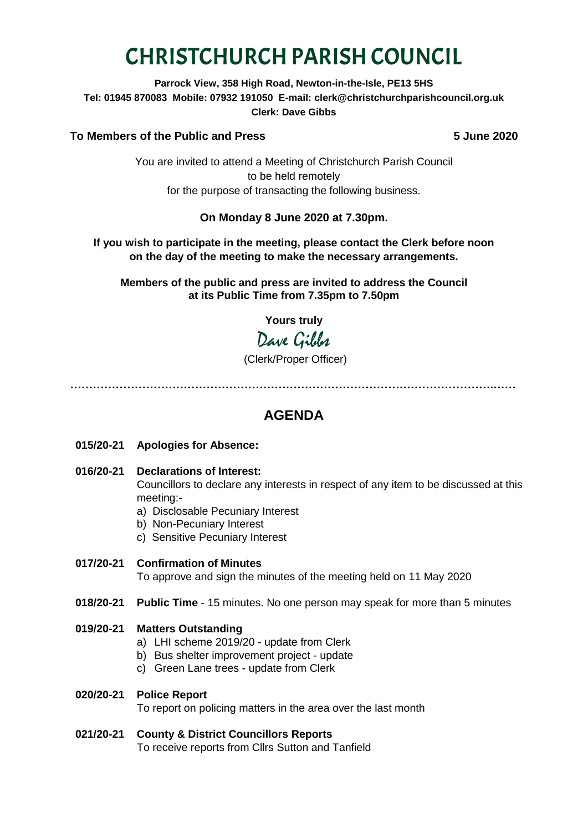# CHRISTCHURCH PARISH COUNCIL

**Parrock View, 358 High Road, Newton-in-the-Isle, PE13 5HS Tel: 01945 870083 Mobile: 07932 191050 E-mail: clerk@christchurchparishcouncil.org.uk Clerk: Dave Gibbs**

# **To Members of the Public and Press 5 June 2020**

You are invited to attend a Meeting of Christchurch Parish Council to be held remotely for the purpose of transacting the following business.

# **On Monday 8 June 2020 at 7.30pm.**

# **If you wish to participate in the meeting, please contact the Clerk before noon on the day of the meeting to make the necessary arrangements.**

**Members of the public and press are invited to address the Council at its Public Time from 7.35pm to 7.50pm**

**Yours truly**

Dave Gibbes

(Clerk/Proper Officer)

**………………………………………………………………………………………………….……**

# **AGENDA**

- **015/20-21 Apologies for Absence:**
- **016/20-21 Declarations of Interest:**  Councillors to declare any interests in respect of any item to be discussed at this meeting:
	- a) Disclosable Pecuniary Interest
	- b) Non-Pecuniary Interest
	- c) Sensitive Pecuniary Interest
- **017/20-21 Confirmation of Minutes**  To approve and sign the minutes of the meeting held on 11 May 2020
- **018/20-21 Public Time** 15 minutes. No one person may speak for more than 5 minutes

# **019/20-21 Matters Outstanding**

- a) LHI scheme 2019/20 update from Clerk
- b) Bus shelter improvement project update
- c) Green Lane trees update from Clerk

# **020/20-21 Police Report**

To report on policing matters in the area over the last month

# **021/20-21 County & District Councillors Reports**

To receive reports from Cllrs Sutton and Tanfield